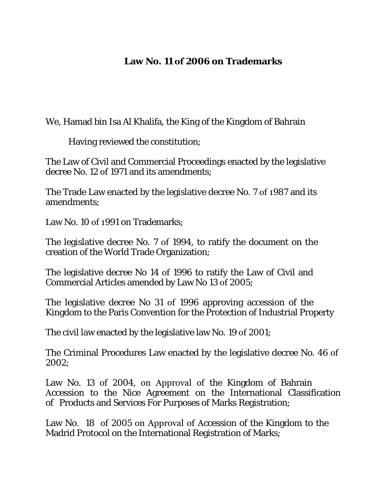# **Law No. 11 of 2006 on Trademarks**

We, Hamad bin Isa Al Khalifa, the King of the Kingdom of Bahrain

Having reviewed the constitution;

The Law of Civil and Commercial Proceedings enacted by the legislative decree No. 12 of 1971 and its amendments;

The Trade Law enacted by the legislative decree No. 7 of 1987 and its amendments;

Law No. 10 of 1991 on Trademarks;

The legislative decree No. 7 of 1994, to ratify the document on the creation of the World Trade Organization;

The legislative decree No 14 of 1996 to ratify the Law of Civil and Commercial Articles amended by Law No 13 of 2005;

The legislative decree No 31 of 1996 approving accession of the Kingdom to the Paris Convention for the Protection of Industrial Property

The civil law enacted by the legislative law No. 19 of 2001;

The Criminal Procedures Law enacted by the legislative decree No. 46 of 2002;

Law No. 13 of 2004, on Approval of the Kingdom of Bahrain Accession to the Nice Agreement on the International Classification of Products and Services For Purposes of Marks Registration;

Law No. 18 of 2005 on Approval of Accession of the Kingdom to the Madrid Protocol on the International Registration of Marks;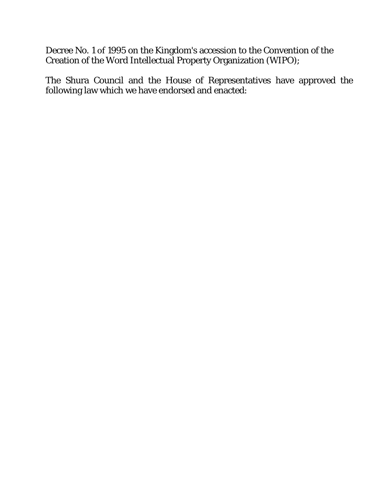Decree No. 1 of 1995 on the Kingdom's accession to the Convention of the Creation of the Word Intellectual Property Organization (WIPO);

The Shura Council and the House of Representatives have approved the following law which we have endorsed and enacted: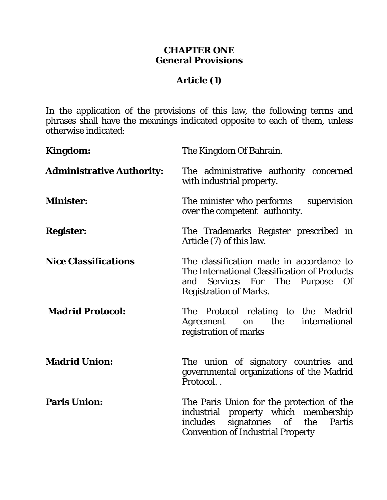### **CHAPTER ONE General Provisions**

# **Article (1)**

In the application of the provisions of this law, the following terms and phrases shall have the meanings indicated opposite to each of them, unless otherwise indicated:

| <b>Kingdom:</b>                  | The Kingdom Of Bahrain.                                                                                                                                                   |
|----------------------------------|---------------------------------------------------------------------------------------------------------------------------------------------------------------------------|
| <b>Administrative Authority:</b> | The administrative authority concerned<br>with industrial property.                                                                                                       |
| <b>Minister:</b>                 | The minister who performs<br>supervision<br>over the competent authority.                                                                                                 |
| <b>Register:</b>                 | The Trademarks Register prescribed in<br>Article (7) of this law.                                                                                                         |
| <b>Nice Classifications</b>      | The classification made in accordance to<br>The International Classification of Products<br>Services For The Purpose<br><b>Of</b><br>and<br><b>Registration of Marks.</b> |
| <b>Madrid Protocol:</b>          | The Protocol relating to the Madrid<br>the<br>international<br>Agreement<br>on<br>registration of marks                                                                   |
| <b>Madrid Union:</b>             | The union of signatory countries and<br>governmental organizations of the Madrid<br>Protocol                                                                              |
| <b>Paris Union:</b>              | The Paris Union for the protection of the<br>industrial property which membership<br>signatories of the<br>includes<br>Partis<br><b>Convention of Industrial Property</b> |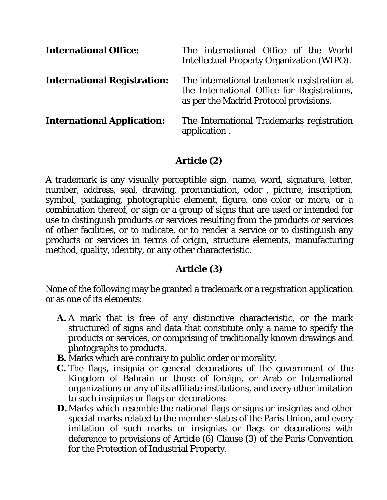| <b>International Office:</b>       | The international Office of the World<br><b>Intellectual Property Organization (WIPO).</b>                                           |
|------------------------------------|--------------------------------------------------------------------------------------------------------------------------------------|
| <b>International Registration:</b> | The international trademark registration at<br>the International Office for Registrations,<br>as per the Madrid Protocol provisions. |
| <b>International Application:</b>  | The International Trademarks registration<br>application.                                                                            |

# **Article (2)**

A trademark is any visually perceptible sign, name, word, signature, letter, number, address, seal, drawing, pronunciation, odor , picture, inscription, symbol, packaging, photographic element, figure, one color or more, or a combination thereof, or sign or a group of signs that are used or intended for use to distinguish products or services resulting from the products or services of other facilities, or to indicate, or to render a service or to distinguish any products or services in terms of origin, structure elements, manufacturing method, quality, identity, or any other characteristic.

# **Article (3)**

None of the following may be granted a trademark or a registration application or as one of its elements:

- *A.* A mark that is free of any distinctive characteristic, or the mark structured of signs and data that constitute only a name to specify the products or services, or comprising of traditionally known drawings and photographs to products.
- *B.* Marks which are contrary to public order or morality.
- *C.* The flags, insignia or general decorations of the government of the Kingdom of Bahrain or those of foreign, or Arab or International organizations or any of its affiliate institutions, and every other imitation to such insignias or flags or decorations.
- **D.** Marks which resemble the national flags or signs or insignias and other special marks related to the member-states of the Paris Union, and every imitation of such marks or insignias or flags or decorations with deference to provisions of Article (6) Clause (3) of the Paris Convention for the Protection of Industrial Property.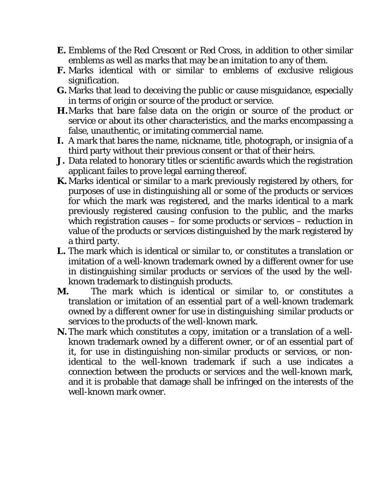- *E.* Emblems of the Red Crescent or Red Cross, in addition to other similar emblems as well as marks that may be an imitation to any of them.
- *F.* Marks identical with or similar to emblems of exclusive religious signification.
- *G.*Marks that lead to deceiving the public or cause misguidance, especially in terms of origin or source of the product or service.
- *H.*Marks that bare false data on the origin or source of the product or service or about its other characteristics, and the marks encompassing a false, unauthentic, or imitating commercial name.
- *I.* A mark that bares the name, nickname, title, photograph, or insignia of a third party without their previous consent or that of their heirs.
- *J.* Data related to honorary titles or scientific awards which the registration applicant failes to prove legal earning thereof.
- *K.*Marks identical or similar to a mark previously registered by others, for purposes of use in distinguishing all or some of the products or services for which the mark was registered, and the marks identical to a mark previously registered causing confusion to the public, and the marks which registration causes – for some products or services – reduction in value of the products or services distinguished by the mark registered by a third party.
- *L.* The mark which is identical or similar to, or constitutes a translation or imitation of a well-known trademark owned by a different owner for use in distinguishing similar products or services of the used by the wellknown trademark to distinguish products.
- *M.* The mark which is identical or similar to, or constitutes a translation or imitation of an essential part of a well-known trademark owned by a different owner for use in distinguishing similar products or services to the products of the well-known mark.
- *N.*The mark which constitutes a copy, imitation or a translation of a wellknown trademark owned by a different owner, or of an essential part of it, for use in distinguishing non-similar products or services, or nonidentical to the well-known trademark if such a use indicates a connection between the products or services and the well-known mark, and it is probable that damage shall be infringed on the interests of the well-known mark owner.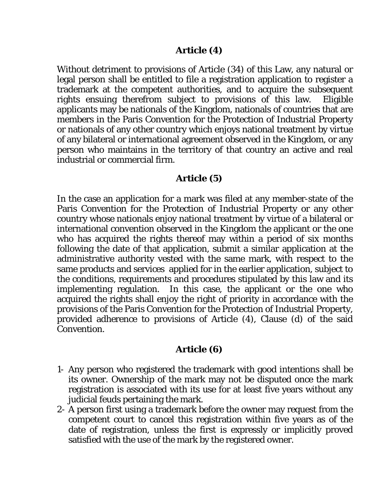#### **Article (4)**

Without detriment to provisions of Article (34) of this Law, any natural or legal person shall be entitled to file a registration application to register a trademark at the competent authorities, and to acquire the subsequent rights ensuing therefrom subject to provisions of this law. Eligible applicants may be nationals of the Kingdom, nationals of countries that are members in the Paris Convention for the Protection of Industrial Property or nationals of any other country which enjoys national treatment by virtue of any bilateral or international agreement observed in the Kingdom, or any person who maintains in the territory of that country an active and real industrial or commercial firm.

#### **Article (5)**

In the case an application for a mark was filed at any member-state of the Paris Convention for the Protection of Industrial Property or any other country whose nationals enjoy national treatment by virtue of a bilateral or international convention observed in the Kingdom the applicant or the one who has acquired the rights thereof may within a period of six months following the date of that application, submit a similar application at the administrative authority vested with the same mark, with respect to the same products and services applied for in the earlier application, subject to the conditions, requirements and procedures stipulated by this law and its implementing regulation. In this case, the applicant or the one who acquired the rights shall enjoy the right of priority in accordance with the provisions of the Paris Convention for the Protection of Industrial Property, provided adherence to provisions of Article (4), Clause (d) of the said Convention.

#### **Article (6)**

- 1- Any person who registered the trademark with good intentions shall be its owner. Ownership of the mark may not be disputed once the mark registration is associated with its use for at least five years without any judicial feuds pertaining the mark.
- 2- A person first using a trademark before the owner may request from the competent court to cancel this registration within five years as of the date of registration, unless the first is expressly or implicitly proved satisfied with the use of the mark by the registered owner.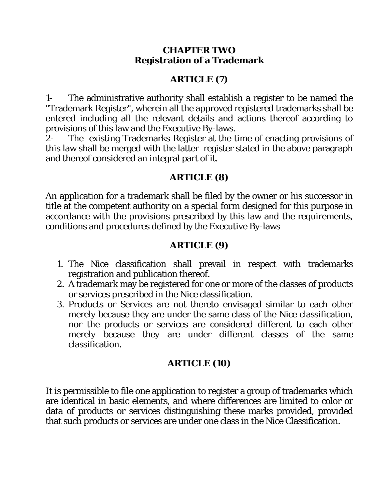#### **CHAPTER TWO Registration of a Trademark**

# **ARTICLE (7)**

1- The administrative authority shall establish a register to be named the "Trademark Register", wherein all the approved registered trademarks shall be entered including all the relevant details and actions thereof according to provisions of this law and the Executive By-laws.

2- The existing Trademarks Register at the time of enacting provisions of this law shall be merged with the latter register stated in the above paragraph and thereof considered an integral part of it.

# **ARTICLE (8)**

An application for a trademark shall be filed by the owner or his successor in title at the competent authority on a special form designed for this purpose in accordance with the provisions prescribed by this law and the requirements, conditions and procedures defined by the Executive By-laws

# **ARTICLE (9)**

- 1. The Nice classification shall prevail in respect with trademarks registration and publication thereof.
- 2. A trademark may be registered for one or more of the classes of products or services prescribed in the Nice classification.
- 3. Products or Services are not thereto envisaged similar to each other merely because they are under the same class of the Nice classification, nor the products or services are considered different to each other merely because they are under different classes of the same classification.

# **ARTICLE (10)**

It is permissible to file one application to register a group of trademarks which are identical in basic elements, and where differences are limited to color or data of products or services distinguishing these marks provided, provided that such products or services are under one class in the Nice Classification.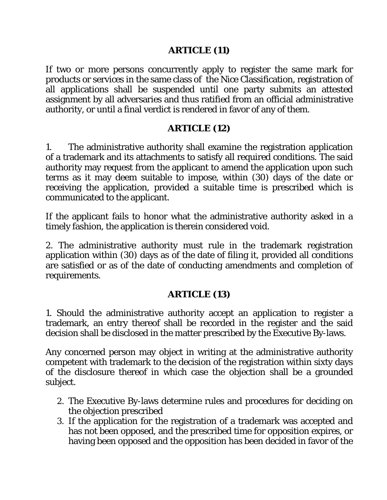### **ARTICLE (11)**

If two or more persons concurrently apply to register the same mark for products or services in the same class of the Nice Classification, registration of all applications shall be suspended until one party submits an attested assignment by all adversaries and thus ratified from an official administrative authority, or until a final verdict is rendered in favor of any of them.

# **ARTICLE (12)**

1. The administrative authority shall examine the registration application of a trademark and its attachments to satisfy all required conditions. The said authority may request from the applicant to amend the application upon such terms as it may deem suitable to impose, within (30) days of the date or receiving the application, provided a suitable time is prescribed which is communicated to the applicant.

If the applicant fails to honor what the administrative authority asked in a timely fashion, the application is therein considered void.

2. The administrative authority must rule in the trademark registration application within (30) days as of the date of filing it, provided all conditions are satisfied or as of the date of conducting amendments and completion of requirements.

# **ARTICLE (13)**

1. Should the administrative authority accept an application to register a trademark, an entry thereof shall be recorded in the register and the said decision shall be disclosed in the matter prescribed by the Executive By-laws.

Any concerned person may object in writing at the administrative authority competent with trademark to the decision of the registration within sixty days of the disclosure thereof in which case the objection shall be a grounded subject.

- 2. The Executive By-laws determine rules and procedures for deciding on the objection prescribed
- 3. If the application for the registration of a trademark was accepted and has not been opposed, and the prescribed time for opposition expires, or having been opposed and the opposition has been decided in favor of the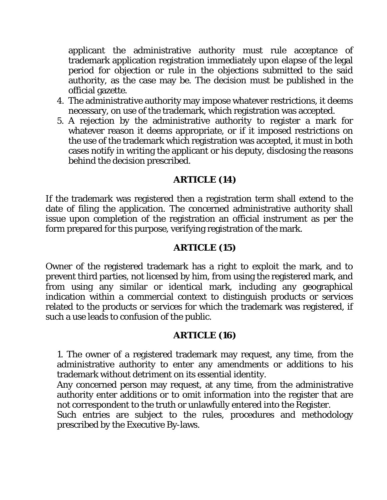applicant the administrative authority must rule acceptance of trademark application registration immediately upon elapse of the legal period for objection or rule in the objections submitted to the said authority, as the case may be. The decision must be published in the official gazette.

- 4. The administrative authority may impose whatever restrictions, it deems necessary, on use of the trademark, which registration was accepted.
- 5. A rejection by the administrative authority to register a mark for whatever reason it deems appropriate, or if it imposed restrictions on the use of the trademark which registration was accepted, it must in both cases notify in writing the applicant or his deputy, disclosing the reasons behind the decision prescribed.

### **ARTICLE (14)**

If the trademark was registered then a registration term shall extend to the date of filing the application. The concerned administrative authority shall issue upon completion of the registration an official instrument as per the form prepared for this purpose, verifying registration of the mark.

### **ARTICLE (15)**

Owner of the registered trademark has a right to exploit the mark, and to prevent third parties, not licensed by him, from using the registered mark, and from using any similar or identical mark, including any geographical indication within a commercial context to distinguish products or services related to the products or services for which the trademark was registered, if such a use leads to confusion of the public.

### **ARTICLE (16)**

1. The owner of a registered trademark may request, any time, from the administrative authority to enter any amendments or additions to his trademark without detriment on its essential identity.

Any concerned person may request, at any time, from the administrative authority enter additions or to omit information into the register that are not correspondent to the truth or unlawfully entered into the Register.

Such entries are subject to the rules, procedures and methodology prescribed by the Executive By-laws.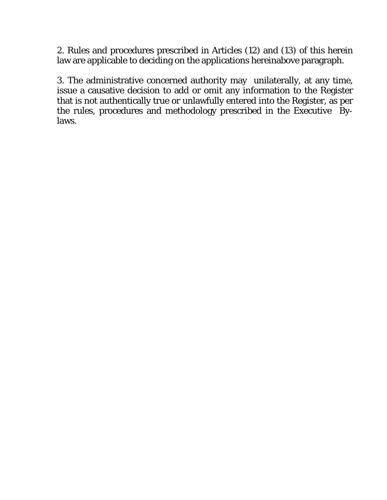2. Rules and procedures prescribed in Articles (12) and (13) of this herein law are applicable to deciding on the applications hereinabove paragraph.

3. The administrative concerned authority may unilaterally, at any time, issue a causative decision to add or omit any information to the Register that is not authentically true or unlawfully entered into the Register, as per the rules, procedures and methodology prescribed in the Executive Bylaws.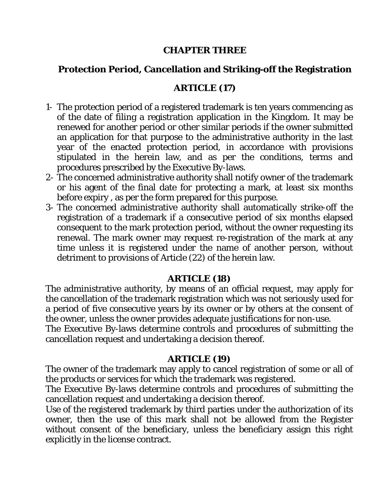#### **CHAPTER THREE**

# **Protection Period, Cancellation and Striking-off the Registration**

### **ARTICLE (17)**

- 1- The protection period of a registered trademark is ten years commencing as of the date of filing a registration application in the Kingdom. It may be renewed for another period or other similar periods if the owner submitted an application for that purpose to the administrative authority in the last year of the enacted protection period, in accordance with provisions stipulated in the herein law, and as per the conditions, terms and procedures prescribed by the Executive By-laws.
- 2- The concerned administrative authority shall notify owner of the trademark or his agent of the final date for protecting a mark, at least six months before expiry , as per the form prepared for this purpose.
- 3- The concerned administrative authority shall automatically strike-off the registration of a trademark if a consecutive period of six months elapsed consequent to the mark protection period, without the owner requesting its renewal. The mark owner may request re-registration of the mark at any time unless it is registered under the name of another person, without detriment to provisions of Article (22) of the herein law.

### **ARTICLE (18)**

The administrative authority, by means of an official request, may apply for the cancellation of the trademark registration which was not seriously used for a period of five consecutive years by its owner or by others at the consent of the owner, unless the owner provides adequate justifications for non-use.

The Executive By-laws determine controls and procedures of submitting the cancellation request and undertaking a decision thereof.

#### **ARTICLE (19)**

The owner of the trademark may apply to cancel registration of some or all of the products or services for which the trademark was registered.

The Executive By-laws determine controls and procedures of submitting the cancellation request and undertaking a decision thereof.

Use of the registered trademark by third parties under the authorization of its owner, then the use of this mark shall not be allowed from the Register without consent of the beneficiary, unless the beneficiary assign this right explicitly in the license contract.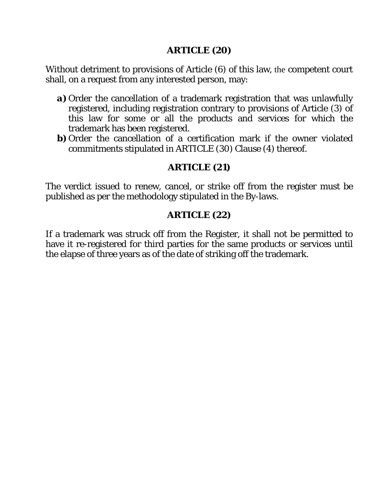#### **ARTICLE (20)**

Without detriment to provisions of Article (6) of this law, the competent court shall, on a request from any interested person, may:

- *a*) Order the cancellation of a trademark registration that was unlawfully registered, including registration contrary to provisions of Article (3) of this law for some or all the products and services for which the trademark has been registered.
- **b**) Order the cancellation of a certification mark if the owner violated commitments stipulated in ARTICLE (30) Clause (4) thereof.

# **ARTICLE (21)**

The verdict issued to renew, cancel, or strike off from the register must be published as per the methodology stipulated in the By-laws.

### **ARTICLE (22)**

If a trademark was struck off from the Register, it shall not be permitted to have it re-registered for third parties for the same products or services until the elapse of three years as of the date of striking off the trademark.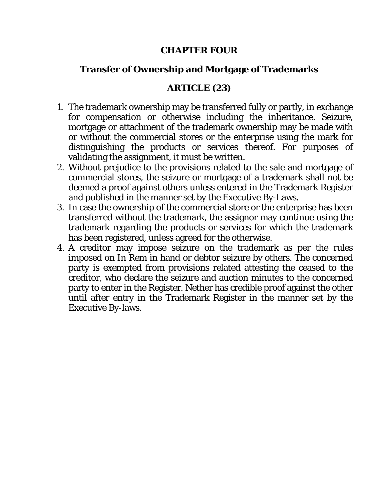### **CHAPTER FOUR**

# **Transfer of Ownership and Mortgage of Trademarks**

### **ARTICLE (23)**

- 1. The trademark ownership may be transferred fully or partly, in exchange for compensation or otherwise including the inheritance. Seizure, mortgage or attachment of the trademark ownership may be made with or without the commercial stores or the enterprise using the mark for distinguishing the products or services thereof. For purposes of validating the assignment, it must be written.
- 2. Without prejudice to the provisions related to the sale and mortgage of commercial stores, the seizure or mortgage of a trademark shall not be deemed a proof against others unless entered in the Trademark Register and published in the manner set by the Executive By-Laws.
- 3. In case the ownership of the commercial store or the enterprise has been transferred without the trademark, the assignor may continue using the trademark regarding the products or services for which the trademark has been registered, unless agreed for the otherwise.
- 4. A creditor may impose seizure on the trademark as per the rules imposed on In Rem in hand or debtor seizure by others. The concerned party is exempted from provisions related attesting the ceased to the creditor, who declare the seizure and auction minutes to the concerned party to enter in the Register. Nether has credible proof against the other until after entry in the Trademark Register in the manner set by the Executive By-laws.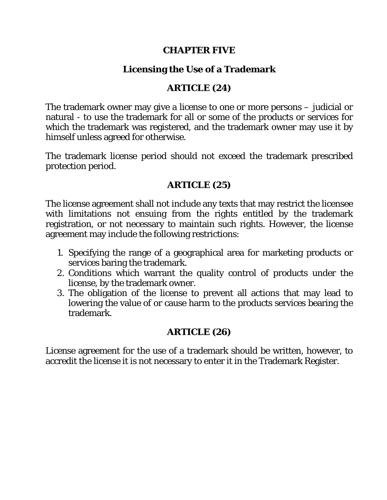#### **CHAPTER FIVE**

# **Licensing the Use of a Trademark**

### **ARTICLE (24)**

The trademark owner may give a license to one or more persons – judicial or natural - to use the trademark for all or some of the products or services for which the trademark was registered, and the trademark owner may use it by himself unless agreed for otherwise.

The trademark license period should not exceed the trademark prescribed protection period.

### **ARTICLE (25)**

The license agreement shall not include any texts that may restrict the licensee with limitations not ensuing from the rights entitled by the trademark registration, or not necessary to maintain such rights. However, the license agreement may include the following restrictions:

- 1. Specifying the range of a geographical area for marketing products or services baring the trademark.
- 2. Conditions which warrant the quality control of products under the license, by the trademark owner.
- 3. The obligation of the license to prevent all actions that may lead to lowering the value of or cause harm to the products services bearing the trademark.

# **ARTICLE (26)**

License agreement for the use of a trademark should be written, however, to accredit the license it is not necessary to enter it in the Trademark Register.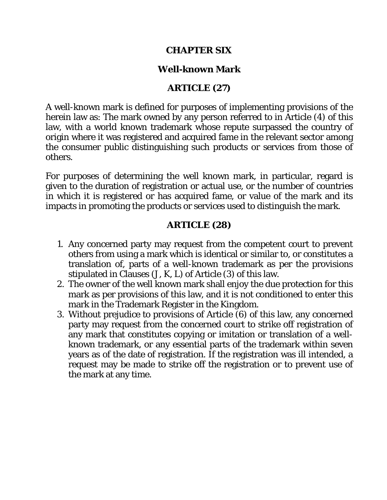### **CHAPTER SIX**

### **Well-known Mark**

### **ARTICLE (27)**

A well-known mark is defined for purposes of implementing provisions of the herein law as: The mark owned by any person referred to in Article (4) of this law, with a world known trademark whose repute surpassed the country of origin where it was registered and acquired fame in the relevant sector among the consumer public distinguishing such products or services from those of others.

For purposes of determining the well known mark, in particular, regard is given to the duration of registration or actual use, or the number of countries in which it is registered or has acquired fame, or value of the mark and its impacts in promoting the products or services used to distinguish the mark.

### **ARTICLE (28)**

- 1. Any concerned party may request from the competent court to prevent others from using a mark which is identical or similar to, or constitutes a translation of, parts of a well-known trademark as per the provisions stipulated in Clauses (J, K, L) of Article (3) of this law.
- 2. The owner of the well known mark shall enjoy the due protection for this mark as per provisions of this law, and it is not conditioned to enter this mark in the Trademark Register in the Kingdom.
- 3. Without prejudice to provisions of Article (6) of this law, any concerned party may request from the concerned court to strike off registration of any mark that constitutes copying or imitation or translation of a wellknown trademark, or any essential parts of the trademark within seven years as of the date of registration. If the registration was ill intended, a request may be made to strike off the registration or to prevent use of the mark at any time.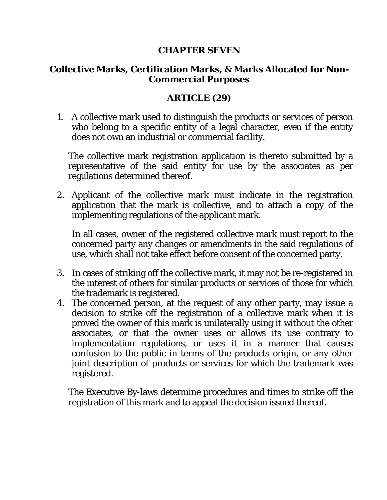### **CHAPTER SEVEN**

### **Collective Marks, Certification Marks, & Marks Allocated for Non-Commercial Purposes**

### **ARTICLE (29)**

1. A collective mark used to distinguish the products or services of person who belong to a specific entity of a legal character, even if the entity does not own an industrial or commercial facility.

The collective mark registration application is thereto submitted by a representative of the said entity for use by the associates as per regulations determined thereof.

2. Applicant of the collective mark must indicate in the registration application that the mark is collective, and to attach a copy of the implementing regulations of the applicant mark.

In all cases, owner of the registered collective mark must report to the concerned party any changes or amendments in the said regulations of use, which shall not take effect before consent of the concerned party.

- 3. In cases of striking off the collective mark, it may not be re-registered in the interest of others for similar products or services of those for which the trademark is registered.
- 4. The concerned person, at the request of any other party, may issue a decision to strike off the registration of a collective mark when it is proved the owner of this mark is unilaterally using it without the other associates, or that the owner uses or allows its use contrary to implementation regulations, or uses it in a manner that causes confusion to the public in terms of the products origin, or any other joint description of products or services for which the trademark was registered.

The Executive By-laws determine procedures and times to strike off the registration of this mark and to appeal the decision issued thereof.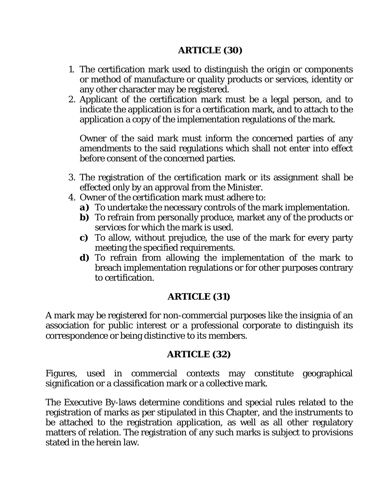### **ARTICLE (30)**

- 1. The certification mark used to distinguish the origin or components or method of manufacture or quality products or services, identity or any other character may be registered.
- 2. Applicant of the certification mark must be a legal person, and to indicate the application is for a certification mark, and to attach to the application a copy of the implementation regulations of the mark.

Owner of the said mark must inform the concerned parties of any amendments to the said regulations which shall not enter into effect before consent of the concerned parties.

- 3. The registration of the certification mark or its assignment shall be effected only by an approval from the Minister.
- 4. Owner of the certification mark must adhere to:
	- *a)* To undertake the necessary controls of the mark implementation.
	- *b*) To refrain from personally produce, market any of the products or services for which the mark is used.
	- *c)* To allow, without prejudice, the use of the mark for every party meeting the specified requirements.
	- *d)* To refrain from allowing the implementation of the mark to breach implementation regulations or for other purposes contrary to certification.

### **ARTICLE (31)**

A mark may be registered for non-commercial purposes like the insignia of an association for public interest or a professional corporate to distinguish its correspondence or being distinctive to its members.

#### **ARTICLE (32)**

Figures, used in commercial contexts may constitute geographical signification or a classification mark or a collective mark.

The Executive By-laws determine conditions and special rules related to the registration of marks as per stipulated in this Chapter, and the instruments to be attached to the registration application, as well as all other regulatory matters of relation. The registration of any such marks is subject to provisions stated in the herein law.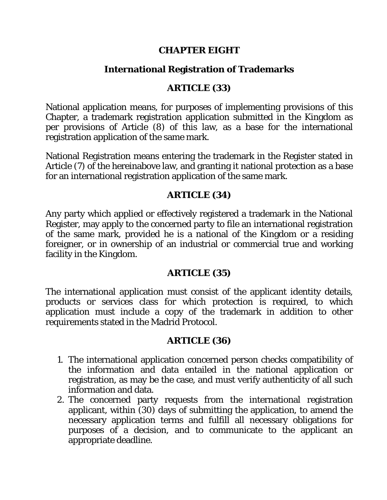#### **CHAPTER EIGHT**

### **International Registration of Trademarks**

### **ARTICLE (33)**

National application means, for purposes of implementing provisions of this Chapter, a trademark registration application submitted in the Kingdom as per provisions of Article (8) of this law, as a base for the international registration application of the same mark.

National Registration means entering the trademark in the Register stated in Article (7) of the hereinabove law, and granting it national protection as a base for an international registration application of the same mark.

### **ARTICLE (34)**

Any party which applied or effectively registered a trademark in the National Register, may apply to the concerned party to file an international registration of the same mark, provided he is a national of the Kingdom or a residing foreigner, or in ownership of an industrial or commercial true and working facility in the Kingdom.

### **ARTICLE (35)**

The international application must consist of the applicant identity details, products or services class for which protection is required, to which application must include a copy of the trademark in addition to other requirements stated in the Madrid Protocol.

### **ARTICLE (36)**

- 1. The international application concerned person checks compatibility of the information and data entailed in the national application or registration, as may be the case, and must verify authenticity of all such information and data.
- 2. The concerned party requests from the international registration applicant, within (30) days of submitting the application, to amend the necessary application terms and fulfill all necessary obligations for purposes of a decision, and to communicate to the applicant an appropriate deadline.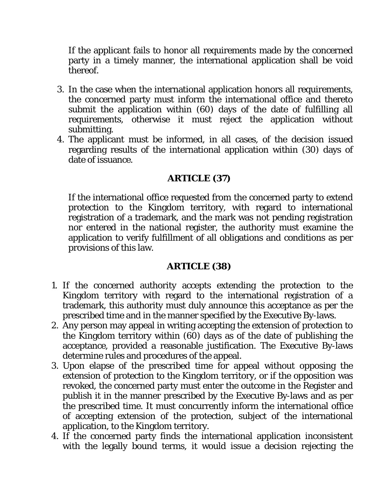If the applicant fails to honor all requirements made by the concerned party in a timely manner, the international application shall be void thereof.

- 3. In the case when the international application honors all requirements, the concerned party must inform the international office and thereto submit the application within (60) days of the date of fulfilling all requirements, otherwise it must reject the application without submitting.
- 4. The applicant must be informed, in all cases, of the decision issued regarding results of the international application within (30) days of date of issuance.

### **ARTICLE (37)**

If the international office requested from the concerned party to extend protection to the Kingdom territory, with regard to international registration of a trademark, and the mark was not pending registration nor entered in the national register, the authority must examine the application to verify fulfillment of all obligations and conditions as per provisions of this law.

### **ARTICLE (38)**

- 1. If the concerned authority accepts extending the protection to the Kingdom territory with regard to the international registration of a trademark, this authority must duly announce this acceptance as per the prescribed time and in the manner specified by the Executive By-laws.
- 2. Any person may appeal in writing accepting the extension of protection to the Kingdom territory within (60) days as of the date of publishing the acceptance, provided a reasonable justification. The Executive By-laws determine rules and procedures of the appeal.
- 3. Upon elapse of the prescribed time for appeal without opposing the extension of protection to the Kingdom territory, or if the opposition was revoked, the concerned party must enter the outcome in the Register and publish it in the manner prescribed by the Executive By-laws and as per the prescribed time. It must concurrently inform the international office of accepting extension of the protection, subject of the international application, to the Kingdom territory.
- 4. If the concerned party finds the international application inconsistent with the legally bound terms, it would issue a decision rejecting the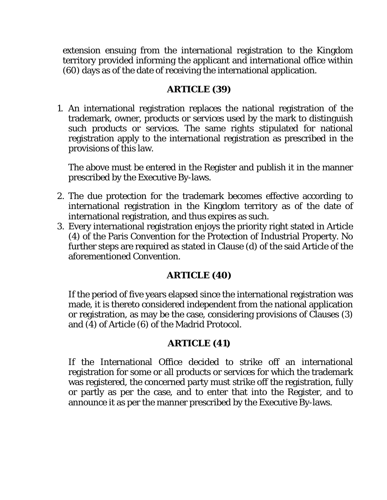extension ensuing from the international registration to the Kingdom territory provided informing the applicant and international office within (60) days as of the date of receiving the international application.

### **ARTICLE (39)**

1. An international registration replaces the national registration of the trademark, owner, products or services used by the mark to distinguish such products or services. The same rights stipulated for national registration apply to the international registration as prescribed in the provisions of this law.

The above must be entered in the Register and publish it in the manner prescribed by the Executive By-laws.

- 2. The due protection for the trademark becomes effective according to international registration in the Kingdom territory as of the date of international registration, and thus expires as such.
- 3. Every international registration enjoys the priority right stated in Article (4) of the Paris Convention for the Protection of Industrial Property. No further steps are required as stated in Clause (d) of the said Article of the aforementioned Convention.

# **ARTICLE (40)**

If the period of five years elapsed since the international registration was made, it is thereto considered independent from the national application or registration, as may be the case, considering provisions of Clauses (3) and (4) of Article (6) of the Madrid Protocol.

# **ARTICLE (41)**

If the International Office decided to strike off an international registration for some or all products or services for which the trademark was registered, the concerned party must strike off the registration, fully or partly as per the case, and to enter that into the Register, and to announce it as per the manner prescribed by the Executive By-laws.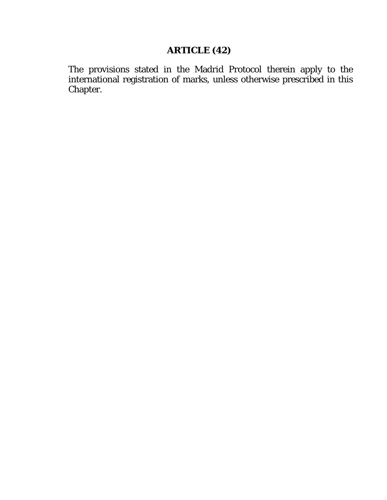# **ARTICLE (42)**

The provisions stated in the Madrid Protocol therein apply to the international registration of marks, unless otherwise prescribed in this Chapter.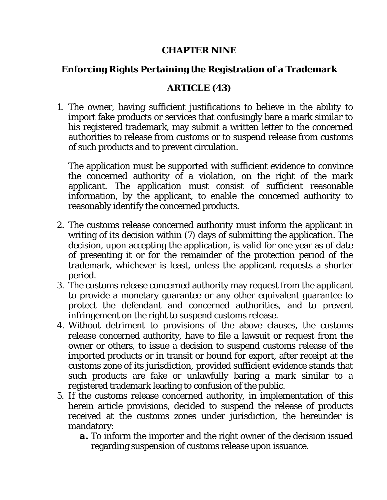#### **CHAPTER NINE**

# **Enforcing Rights Pertaining the Registration of a Trademark**

# **ARTICLE (43)**

1. The owner, having sufficient justifications to believe in the ability to import fake products or services that confusingly bare a mark similar to his registered trademark, may submit a written letter to the concerned authorities to release from customs or to suspend release from customs of such products and to prevent circulation.

The application must be supported with sufficient evidence to convince the concerned authority of a violation, on the right of the mark applicant. The application must consist of sufficient reasonable information, by the applicant, to enable the concerned authority to reasonably identify the concerned products.

- 2. The customs release concerned authority must inform the applicant in writing of its decision within (7) days of submitting the application. The decision, upon accepting the application, is valid for one year as of date of presenting it or for the remainder of the protection period of the trademark, whichever is least, unless the applicant requests a shorter period.
- 3. The customs release concerned authority may request from the applicant to provide a monetary guarantee or any other equivalent guarantee to protect the defendant and concerned authorities, and to prevent infringement on the right to suspend customs release.
- 4. Without detriment to provisions of the above clauses, the customs release concerned authority, have to file a lawsuit or request from the owner or others, to issue a decision to suspend customs release of the imported products or in transit or bound for export, after receipt at the customs zone of its jurisdiction, provided sufficient evidence stands that such products are fake or unlawfully baring a mark similar to a registered trademark leading to confusion of the public.
- 5. If the customs release concerned authority, in implementation of this herein article provisions, decided to suspend the release of products received at the customs zones under jurisdiction, the hereunder is mandatory:
	- *a.* To inform the importer and the right owner of the decision issued regarding suspension of customs release upon issuance.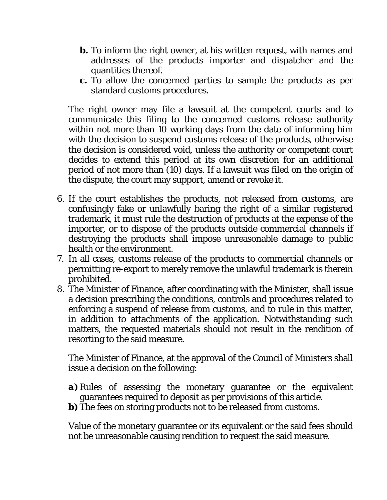- *b.* To inform the right owner, at his written request, with names and addresses of the products importer and dispatcher and the quantities thereof.
- *c.* To allow the concerned parties to sample the products as per standard customs procedures.

The right owner may file a lawsuit at the competent courts and to communicate this filing to the concerned customs release authority within not more than 10 working days from the date of informing him with the decision to suspend customs release of the products, otherwise the decision is considered void, unless the authority or competent court decides to extend this period at its own discretion for an additional period of not more than (10) days. If a lawsuit was filed on the origin of the dispute, the court may support, amend or revoke it.

- 6. If the court establishes the products, not released from customs, are confusingly fake or unlawfully baring the right of a similar registered trademark, it must rule the destruction of products at the expense of the importer, or to dispose of the products outside commercial channels if destroying the products shall impose unreasonable damage to public health or the environment.
- 7. In all cases, customs release of the products to commercial channels or permitting re-export to merely remove the unlawful trademark is therein prohibited.
- 8. The Minister of Finance, after coordinating with the Minister, shall issue a decision prescribing the conditions, controls and procedures related to enforcing a suspend of release from customs, and to rule in this matter, in addition to attachments of the application. Notwithstanding such matters, the requested materials should not result in the rendition of resorting to the said measure.

The Minister of Finance, at the approval of the Council of Ministers shall issue a decision on the following:

- *a)* Rules of assessing the monetary guarantee or the equivalent guarantees required to deposit as per provisions of this article.
- *b*) The fees on storing products not to be released from customs.

Value of the monetary guarantee or its equivalent or the said fees should not be unreasonable causing rendition to request the said measure.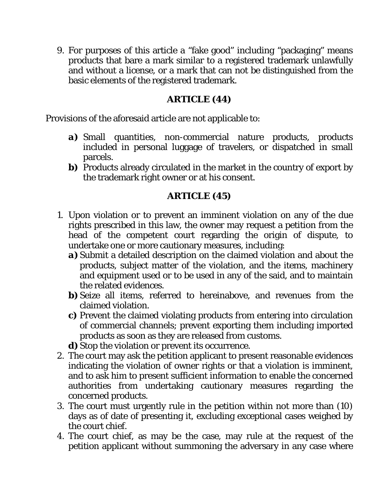9. For purposes of this article a "fake good" including "packaging" means products that bare a mark similar to a registered trademark unlawfully and without a license, or a mark that can not be distinguished from the basic elements of the registered trademark.

### **ARTICLE (44)**

Provisions of the aforesaid article are not applicable to:

- *a)* Small quantities, non-commercial nature products, products included in personal luggage of travelers, or dispatched in small parcels.
- *b*) Products already circulated in the market in the country of export by the trademark right owner or at his consent.

# **ARTICLE (45)**

- 1. Upon violation or to prevent an imminent violation on any of the due rights prescribed in this law, the owner may request a petition from the head of the competent court regarding the origin of dispute, to undertake one or more cautionary measures, including:
	- *a)* Submit a detailed description on the claimed violation and about the products, subject matter of the violation, and the items, machinery and equipment used or to be used in any of the said, and to maintain the related evidences.
	- **b**) Seize all items, referred to hereinabove, and revenues from the claimed violation.
	- *c)* Prevent the claimed violating products from entering into circulation of commercial channels; prevent exporting them including imported products as soon as they are released from customs.
	- *d*) Stop the violation or prevent its occurrence.
- 2. The court may ask the petition applicant to present reasonable evidences indicating the violation of owner rights or that a violation is imminent, and to ask him to present sufficient information to enable the concerned authorities from undertaking cautionary measures regarding the concerned products.
- 3. The court must urgently rule in the petition within not more than (10) days as of date of presenting it, excluding exceptional cases weighed by the court chief.
- 4. The court chief, as may be the case, may rule at the request of the petition applicant without summoning the adversary in any case where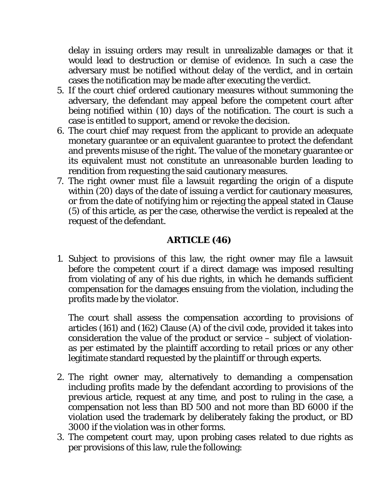delay in issuing orders may result in unrealizable damages or that it would lead to destruction or demise of evidence. In such a case the adversary must be notified without delay of the verdict, and in certain cases the notification may be made after executing the verdict.

- 5. If the court chief ordered cautionary measures without summoning the adversary, the defendant may appeal before the competent court after being notified within (10) days of the notification. The court is such a case is entitled to support, amend or revoke the decision.
- 6. The court chief may request from the applicant to provide an adequate monetary guarantee or an equivalent guarantee to protect the defendant and prevents misuse of the right. The value of the monetary guarantee or its equivalent must not constitute an unreasonable burden leading to rendition from requesting the said cautionary measures.
- 7. The right owner must file a lawsuit regarding the origin of a dispute within (20) days of the date of issuing a verdict for cautionary measures, or from the date of notifying him or rejecting the appeal stated in Clause (5) of this article, as per the case, otherwise the verdict is repealed at the request of the defendant.

### **ARTICLE (46)**

1. Subject to provisions of this law, the right owner may file a lawsuit before the competent court if a direct damage was imposed resulting from violating of any of his due rights, in which he demands sufficient compensation for the damages ensuing from the violation, including the profits made by the violator.

The court shall assess the compensation according to provisions of articles (161) and (162) Clause (A) of the civil code, provided it takes into consideration the value of the product or service – subject of violationas per estimated by the plaintiff according to retail prices or any other legitimate standard requested by the plaintiff or through experts.

- 2. The right owner may, alternatively to demanding a compensation including profits made by the defendant according to provisions of the previous article, request at any time, and post to ruling in the case, a compensation not less than BD 500 and not more than BD 6000 if the violation used the trademark by deliberately faking the product, or BD 3000 if the violation was in other forms.
- 3. The competent court may, upon probing cases related to due rights as per provisions of this law, rule the following: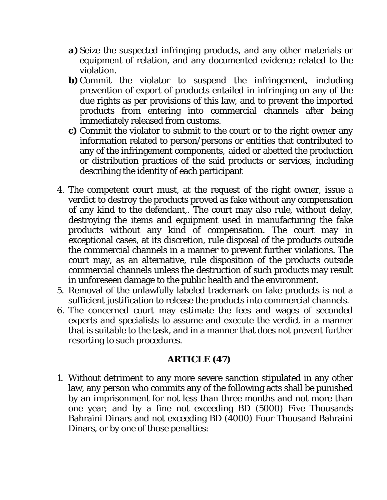- *a)* Seize the suspected infringing products, and any other materials or equipment of relation, and any documented evidence related to the violation.
- *b*) Commit the violator to suspend the infringement, including prevention of export of products entailed in infringing on any of the due rights as per provisions of this law, and to prevent the imported products from entering into commercial channels after being immediately released from customs.
- *c)* Commit the violator to submit to the court or to the right owner any information related to person/persons or entities that contributed to any of the infringement components, aided or abetted the production or distribution practices of the said products or services, including describing the identity of each participant
- 4. The competent court must, at the request of the right owner, issue a verdict to destroy the products proved as fake without any compensation of any kind to the defendant,. The court may also rule, without delay, destroying the items and equipment used in manufacturing the fake products without any kind of compensation. The court may in exceptional cases, at its discretion, rule disposal of the products outside the commercial channels in a manner to prevent further violations. The court may, as an alternative, rule disposition of the products outside commercial channels unless the destruction of such products may result in unforeseen damage to the public health and the environment.
- 5. Removal of the unlawfully labeled trademark on fake products is not a sufficient justification to release the products into commercial channels.
- 6. The concerned court may estimate the fees and wages of seconded experts and specialists to assume and execute the verdict in a manner that is suitable to the task, and in a manner that does not prevent further resorting to such procedures.

### **ARTICLE (47)**

1. Without detriment to any more severe sanction stipulated in any other law, any person who commits any of the following acts shall be punished by an imprisonment for not less than three months and not more than one year; and by a fine not exceeding BD (5000) Five Thousands Bahraini Dinars and not exceeding BD (4000) Four Thousand Bahraini Dinars, or by one of those penalties: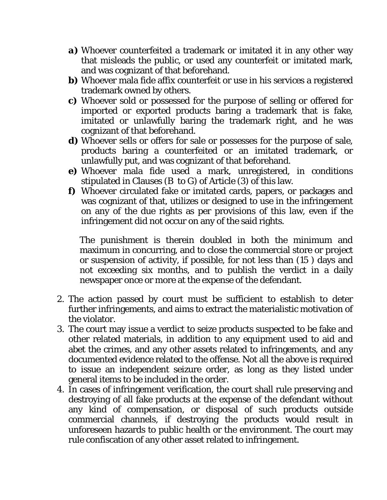- *a)* Whoever counterfeited a trademark or imitated it in any other way that misleads the public, or used any counterfeit or imitated mark, and was cognizant of that beforehand.
- *b*) Whoever mala fide affix counterfeit or use in his services a registered trademark owned by others.
- *c)* Whoever sold or possessed for the purpose of selling or offered for imported or exported products baring a trademark that is fake, imitated or unlawfully baring the trademark right, and he was cognizant of that beforehand.
- *d*) Whoever sells or offers for sale or possesses for the purpose of sale, products baring a counterfeited or an imitated trademark, or unlawfully put, and was cognizant of that beforehand.
- *e)* Whoever mala fide used a mark, unregistered, in conditions stipulated in Clauses (*B to G)* of Article (3) of this law.
- *f)* Whoever circulated fake or imitated cards, papers, or packages and was cognizant of that, utilizes or designed to use in the infringement on any of the due rights as per provisions of this law, even if the infringement did not occur on any of the said rights.

The punishment is therein doubled in both the minimum and maximum in concurring, and to close the commercial store or project or suspension of activity, if possible, for not less than (15 ) days and not exceeding six months, and to publish the verdict in a daily newspaper once or more at the expense of the defendant.

- 2. The action passed by court must be sufficient to establish to deter further infringements, and aims to extract the materialistic motivation of the violator.
- 3. The court may issue a verdict to seize products suspected to be fake and other related materials, in addition to any equipment used to aid and abet the crimes, and any other assets related to infringements, and any documented evidence related to the offense. Not all the above is required to issue an independent seizure order, as long as they listed under general items to be included in the order.
- 4. In cases of infringement verification, the court shall rule preserving and destroying of all fake products at the expense of the defendant without any kind of compensation, or disposal of such products outside commercial channels, if destroying the products would result in unforeseen hazards to public health or the environment. The court may rule confiscation of any other asset related to infringement.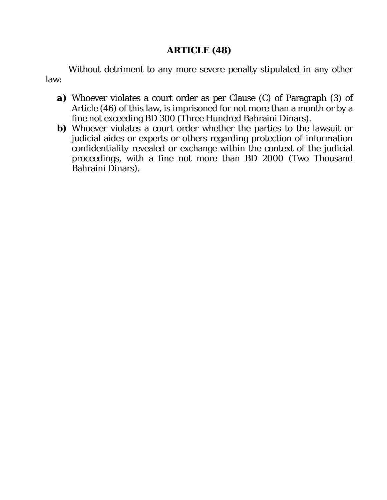#### **ARTICLE (48)**

Without detriment to any more severe penalty stipulated in any other law:

- *a)* Whoever violates a court order as per Clause (C) of Paragraph (3) of Article (46) of this law, is imprisoned for not more than a month or by a fine not exceeding BD 300 (Three Hundred Bahraini Dinars).
- **b)** Whoever violates a court order whether the parties to the lawsuit or judicial aides or experts or others regarding protection of information confidentiality revealed or exchange within the context of the judicial proceedings, with a fine not more than BD 2000 (Two Thousand Bahraini Dinars).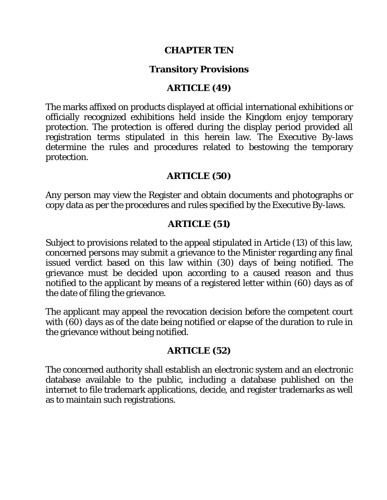#### **CHAPTER TEN**

#### **Transitory Provisions**

#### **ARTICLE (49)**

The marks affixed on products displayed at official international exhibitions or officially recognized exhibitions held inside the Kingdom enjoy temporary protection. The protection is offered during the display period provided all registration terms stipulated in this herein law. The Executive By-laws determine the rules and procedures related to bestowing the temporary protection.

#### **ARTICLE (50)**

Any person may view the Register and obtain documents and photographs or copy data as per the procedures and rules specified by the Executive By-laws.

### **ARTICLE (51)**

Subject to provisions related to the appeal stipulated in Article (13) of this law, concerned persons may submit a grievance to the Minister regarding any final issued verdict based on this law within (30) days of being notified. The grievance must be decided upon according to a caused reason and thus notified to the applicant by means of a registered letter within (60) days as of the date of filing the grievance.

The applicant may appeal the revocation decision before the competent court with (60) days as of the date being notified or elapse of the duration to rule in the grievance without being notified.

#### **ARTICLE (52)**

The concerned authority shall establish an electronic system and an electronic database available to the public, including a database published on the internet to file trademark applications, decide, and register trademarks as well as to maintain such registrations.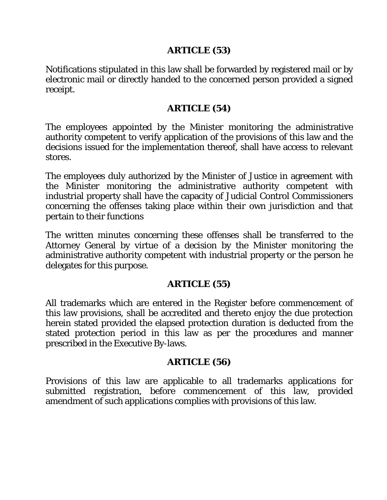#### **ARTICLE (53)**

Notifications stipulated in this law shall be forwarded by registered mail or by electronic mail or directly handed to the concerned person provided a signed receipt.

### **ARTICLE (54)**

The employees appointed by the Minister monitoring the administrative authority competent to verify application of the provisions of this law and the decisions issued for the implementation thereof, shall have access to relevant stores.

The employees duly authorized by the Minister of Justice in agreement with the Minister monitoring the administrative authority competent with industrial property shall have the capacity of Judicial Control Commissioners concerning the offenses taking place within their own jurisdiction and that pertain to their functions

The written minutes concerning these offenses shall be transferred to the Attorney General by virtue of a decision by the Minister monitoring the administrative authority competent with industrial property or the person he delegates for this purpose.

# **ARTICLE (55)**

All trademarks which are entered in the Register before commencement of this law provisions, shall be accredited and thereto enjoy the due protection herein stated provided the elapsed protection duration is deducted from the stated protection period in this law as per the procedures and manner prescribed in the Executive By-laws.

### **ARTICLE (56)**

Provisions of this law are applicable to all trademarks applications for submitted registration, before commencement of this law, provided amendment of such applications complies with provisions of this law.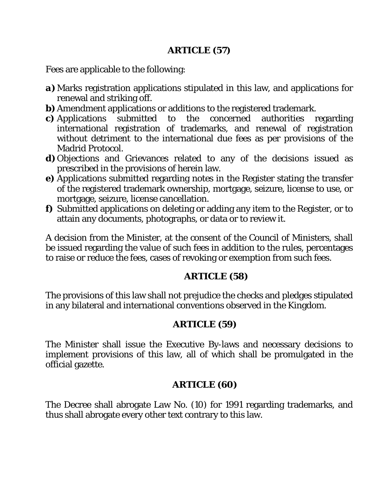### **ARTICLE (57)**

Fees are applicable to the following:

- *a)* Marks registration applications stipulated in this law, and applications for renewal and striking off.
- *b*) Amendment applications or additions to the registered trademark.
- *c)* Applications submitted to the concerned authorities regarding international registration of trademarks, and renewal of registration without detriment to the international due fees as per provisions of the Madrid Protocol.
- *d*) Objections and Grievances related to any of the decisions issued as prescribed in the provisions of herein law.
- *e)* Applications submitted regarding notes in the Register stating the transfer of the registered trademark ownership, mortgage, seizure, license to use, or mortgage, seizure, license cancellation.
- *f)* Submitted applications on deleting or adding any item to the Register, or to attain any documents, photographs, or data or to review it.

A decision from the Minister, at the consent of the Council of Ministers, shall be issued regarding the value of such fees in addition to the rules, percentages to raise or reduce the fees, cases of revoking or exemption from such fees.

# **ARTICLE (58)**

The provisions of this law shall not prejudice the checks and pledges stipulated in any bilateral and international conventions observed in the Kingdom.

# **ARTICLE (59)**

The Minister shall issue the Executive By-laws and necessary decisions to implement provisions of this law, all of which shall be promulgated in the official gazette.

# **ARTICLE (60)**

The Decree shall abrogate Law No. (10) for 1991 regarding trademarks, and thus shall abrogate every other text contrary to this law.